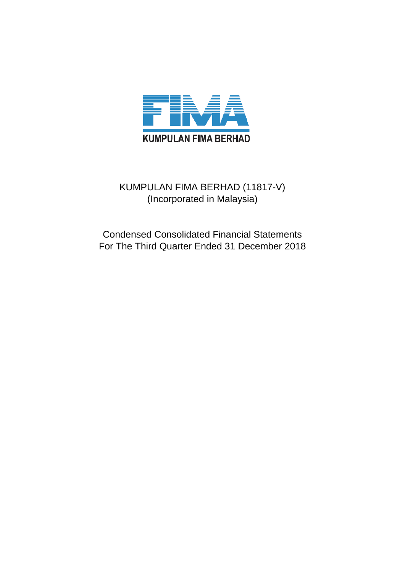

## KUMPULAN FIMA BERHAD (11817-V) (Incorporated in Malaysia)

Condensed Consolidated Financial Statements For The Third Quarter Ended 31 December 2018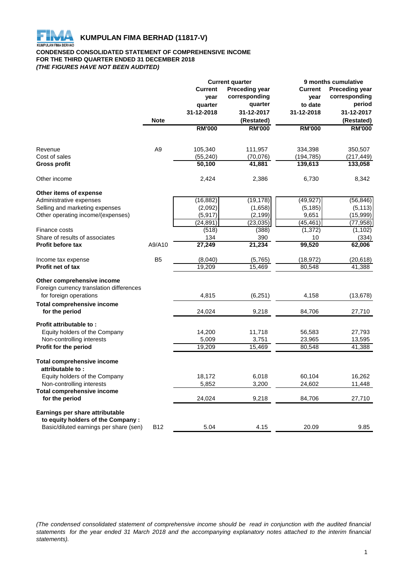

## **CONDENSED CONSOLIDATED STATEMENT OF COMPREHENSIVE INCOME FOR THE THIRD QUARTER ENDED 31 DECEMBER 2018** *(THE FIGURES HAVE NOT BEEN AUDITED)*

|                                                     |                 | <b>Current quarter</b> |                       | 9 months cumulative |                       |
|-----------------------------------------------------|-----------------|------------------------|-----------------------|---------------------|-----------------------|
|                                                     |                 | <b>Current</b>         | <b>Preceding year</b> | <b>Current</b>      | <b>Preceding year</b> |
|                                                     |                 | year                   | corresponding         | year                | corresponding         |
|                                                     |                 | quarter                | quarter               | to date             | period                |
|                                                     |                 | 31-12-2018             | 31-12-2017            | 31-12-2018          | 31-12-2017            |
|                                                     | <b>Note</b>     |                        | (Restated)            |                     | (Restated)            |
|                                                     |                 | <b>RM'000</b>          | <b>RM'000</b>         | <b>RM'000</b>       | <b>RM'000</b>         |
| Revenue                                             | A <sub>9</sub>  | 105,340                | 111,957               | 334,398             | 350,507               |
| Cost of sales                                       |                 | (55, 240)              | (70,076)              | (194, 785)          | (217,449)             |
| <b>Gross profit</b>                                 |                 | 50,100                 | 41,881                | 139,613             | 133,058               |
| Other income                                        |                 | 2,424                  | 2,386                 | 6,730               | 8,342                 |
| Other items of expense                              |                 |                        |                       |                     |                       |
| Administrative expenses                             |                 | (16, 882)              | (19, 178)             | (49, 927)           | (56, 846)             |
| Selling and marketing expenses                      |                 | (2,092)                | (1,658)               | (5, 185)            | (5, 113)              |
| Other operating income/(expenses)                   |                 | (5, 917)               | (2, 199)              | 9,651               | (15,999)              |
|                                                     |                 | (24, 891)              | (23, 035)             | (45, 461)           | (77, 958)             |
| Finance costs                                       |                 | (518)                  | (388)                 | (1, 372)            | (1, 102)              |
| Share of results of associates                      |                 | 134                    | 390                   | 10                  | (334)                 |
| <b>Profit before tax</b>                            | A9/A10          | 27,249                 | 21,234                | 99,520              | 62,006                |
| Income tax expense                                  | B <sub>5</sub>  | (8,040)                | (5,765)               | (18, 972)           | (20, 618)             |
| <b>Profit net of tax</b>                            |                 | 19,209                 | 15,469                | 80,548              | 41,388                |
| Other comprehensive income                          |                 |                        |                       |                     |                       |
| Foreign currency translation differences            |                 |                        |                       |                     |                       |
| for foreign operations                              |                 | 4,815                  | (6, 251)              | 4,158               | (13, 678)             |
| <b>Total comprehensive income</b><br>for the period |                 | 24,024                 | 9,218                 | 84,706              | 27,710                |
| Profit attributable to:                             |                 |                        |                       |                     |                       |
| Equity holders of the Company                       |                 | 14,200                 | 11,718                | 56,583              | 27,793                |
| Non-controlling interests                           |                 | 5,009                  | 3,751                 | 23,965              | 13,595                |
| Profit for the period                               |                 | 19,209                 | 15,469                | 80,548              | 41,388                |
| <b>Total comprehensive income</b>                   |                 |                        |                       |                     |                       |
| attributable to:                                    |                 |                        |                       |                     |                       |
| Equity holders of the Company                       |                 | 18,172                 | 6,018                 | 60,104              | 16,262                |
| Non-controlling interests                           |                 | 5,852                  | 3,200                 | 24,602              | 11,448                |
| <b>Total comprehensive income</b><br>for the period |                 | 24,024                 | 9,218                 | 84,706              | 27,710                |
| Earnings per share attributable                     |                 |                        |                       |                     |                       |
| to equity holders of the Company :                  |                 |                        |                       |                     |                       |
| Basic/diluted earnings per share (sen)              | B <sub>12</sub> | 5.04                   | 4.15                  | 20.09               | 9.85                  |

(The condensed consolidated statement of comprehensive income should be read in conjunction with the audited financial statements for the year ended 31 March 2018 and the accompanying explanatory notes attached to the interim financial *statements).*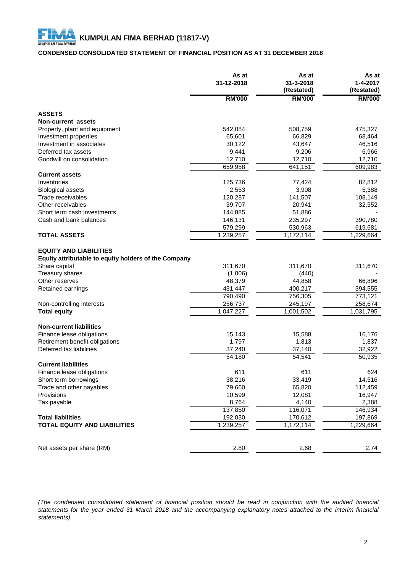## **CONDENSED CONSOLIDATED STATEMENT OF FINANCIAL POSITION AS AT 31 DECEMBER 2018**

|                                                                                                                   | As at<br>31-12-2018          | As at<br>31-3-2018<br>(Restated) | As at<br>$1 - 4 - 2017$<br>(Restated) |
|-------------------------------------------------------------------------------------------------------------------|------------------------------|----------------------------------|---------------------------------------|
|                                                                                                                   | <b>RM'000</b>                | <b>RM'000</b>                    | <b>RM'000</b>                         |
| <b>ASSETS</b>                                                                                                     |                              |                                  |                                       |
| Non-current assets                                                                                                |                              |                                  |                                       |
| Property, plant and equipment                                                                                     | 542,084                      | 508,759                          | 475,327                               |
| Investment properties                                                                                             | 65,601                       | 66,829                           | 68,464                                |
| Investment in associates                                                                                          | 30,122                       | 43,647                           | 46,516                                |
| Deferred tax assets                                                                                               | 9,441                        | 9,206                            | 6,966                                 |
| Goodwill on consolidation                                                                                         | 12,710                       | 12,710                           | 12,710                                |
|                                                                                                                   | 659,958                      | 641,151                          | 609,983                               |
| <b>Current assets</b>                                                                                             |                              |                                  |                                       |
| Inventories                                                                                                       | 125,736                      | 77,424                           | 82,812                                |
| <b>Biological assets</b>                                                                                          | 2,553                        | 3,908                            | 5,388                                 |
| Trade receivables                                                                                                 | 120,287                      | 141,507                          | 108,149                               |
| Other receivables                                                                                                 | 39,707                       | 20,941                           | 32,552                                |
| Short term cash investments                                                                                       | 144,885                      | 51,886                           |                                       |
| Cash and bank balances                                                                                            | 146,131                      | 235,297                          | 390,780                               |
|                                                                                                                   | 579,299                      | 530,963                          | 619,681                               |
| <b>TOTAL ASSETS</b>                                                                                               | 1,239,257                    | 1,172,114                        | 1,229,664                             |
| Equity attributable to equity holders of the Company<br>Share capital<br><b>Treasury shares</b><br>Other reserves | 311,670<br>(1,006)<br>48,379 | 311,670<br>(440)<br>44,858       | 311,670<br>66,896                     |
| Retained earnings                                                                                                 | 431,447                      | 400,217                          | 394,555                               |
|                                                                                                                   | 790,490                      | 756,305                          | 773,121                               |
| Non-controlling interests                                                                                         | 256,737                      | 245,197                          | 258,674                               |
| <b>Total equity</b>                                                                                               | 1,047,227                    | 1,001,502                        | 1,031,795                             |
| <b>Non-current liabilities</b>                                                                                    |                              |                                  |                                       |
| Finance lease obligations                                                                                         | 15,143                       | 15,588                           | 16,176                                |
| Retirement benefit obligations                                                                                    | 1,797                        | 1,813                            | 1,837                                 |
| Deferred tax liabilities                                                                                          | 37,240                       | 37,140                           | 32,922                                |
|                                                                                                                   | 54,180                       | 54,541                           | 50,935                                |
| <b>Current liabilities</b>                                                                                        |                              |                                  |                                       |
| Finance lease obligations                                                                                         | 611                          | 611                              | 624                                   |
| Short term borrowings                                                                                             | 38,216                       | 33,419                           | 14,516                                |
| Trade and other payables                                                                                          | 79,660                       | 65,820                           | 112,459                               |
| Provisions                                                                                                        | 10,599                       | 12,081                           | 16,947                                |
| Tax payable                                                                                                       | 8,764                        | 4,140                            | 2,388                                 |
|                                                                                                                   | 137,850                      | 116,071                          | 146,934                               |
| <b>Total liabilities</b>                                                                                          | 192,030                      | 170,612                          | 197,869                               |
| <b>TOTAL EQUITY AND LIABILITIES</b>                                                                               | 1,239,257                    | 1,172,114                        | 1,229,664                             |
| Net assets per share (RM)                                                                                         | 2.80                         | 2.68                             | 2.74                                  |

(The condensed consolidated statement of financial position should be read in conjunction with the audited financial statements for the year ended 31 March 2018 and the accompanying explanatory notes attached to the interim financial *statements).*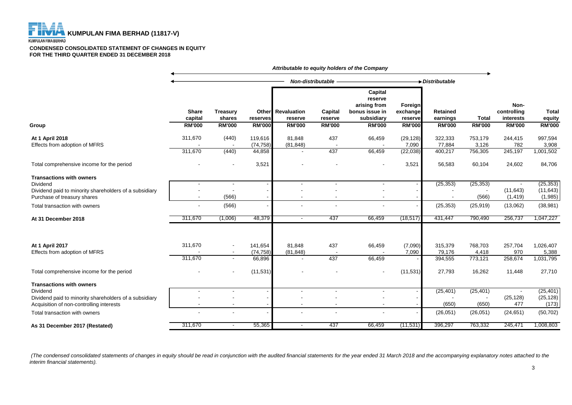

**KUMPULAN FIMA BERHAD** 

#### **CONDENSED CONSOLIDATED STATEMENT OF CHANGES IN EQUITY FOR THE THIRD QUARTER ENDED 31 DECEMBER 2018**

|                                                                                                                                                   | Attributable to equity holders of the Company |                                                      |                                |                                            |                    |                                                                    |                                 |                              |                             |                                  |                                   |
|---------------------------------------------------------------------------------------------------------------------------------------------------|-----------------------------------------------|------------------------------------------------------|--------------------------------|--------------------------------------------|--------------------|--------------------------------------------------------------------|---------------------------------|------------------------------|-----------------------------|----------------------------------|-----------------------------------|
|                                                                                                                                                   |                                               |                                                      | Non-distributable -            |                                            |                    |                                                                    | $\rightarrow$ Distributable     |                              |                             |                                  |                                   |
|                                                                                                                                                   | <b>Share</b><br>capital                       | <b>Treasury</b><br>shares                            | Other<br>reserves              | <b>Revaluation</b><br>reserve              | Capital<br>reserve | Capital<br>reserve<br>arising from<br>bonus issue in<br>subsidiary | Foreign<br>exchange<br>reserve  | <b>Retained</b><br>earnings  | <b>Total</b>                | Non-<br>controlling<br>interests | <b>Total</b><br>equity            |
| Group                                                                                                                                             | <b>RM'000</b>                                 | <b>RM'000</b>                                        | <b>RM'000</b>                  | <b>RM'000</b>                              | <b>RM'000</b>      | <b>RM'000</b>                                                      | <b>RM'000</b>                   | <b>RM'000</b>                | <b>RM'000</b>               | <b>RM'000</b>                    | <b>RM'000</b>                     |
| At 1 April 2018<br>Effects from adoption of MFRS                                                                                                  | 311,670<br>311,670                            | (440)<br>(440)                                       | 119,616<br>(74, 758)<br>44,858 | 81,848<br>(81, 848)                        | 437<br>437         | 66,459<br>66,459                                                   | (29, 128)<br>7,090<br>(22, 038) | 322,333<br>77,884<br>400,217 | 753,179<br>3,126<br>756,305 | 244,415<br>782<br>245,197        | 997,594<br>3,908<br>1,001,502     |
| Total comprehensive income for the period                                                                                                         |                                               |                                                      | 3,521                          |                                            |                    |                                                                    | 3,521                           | 56,583                       | 60,104                      | 24,602                           | 84,706                            |
| <b>Transactions with owners</b><br>Dividend<br>Dividend paid to minority shareholders of a subsidiary<br>Purchase of treasury shares              |                                               | (566)                                                |                                | $\overline{\phantom{a}}$                   |                    | $\overline{\phantom{a}}$                                           |                                 | (25, 353)                    | (25, 353)<br>(566)          | (11, 643)<br>(1, 419)            | (25, 353)<br>(11, 643)<br>(1,985) |
| Total transaction with owners                                                                                                                     |                                               | (566)                                                |                                |                                            |                    |                                                                    |                                 | (25, 353)                    | (25, 919)                   | (13,062)                         | (38, 981)                         |
| At 31 December 2018                                                                                                                               | 311,670                                       | (1,006)                                              | 48,379                         | $\sim$                                     | 437                | 66,459                                                             | (18, 517)                       | 431,447                      | 790,490                     | 256,737                          | 1,047,227                         |
| At 1 April 2017<br>Effects from adoption of MFRS                                                                                                  | 311,670<br>311,670                            | $\overline{\phantom{a}}$<br>$\overline{\phantom{a}}$ | 141,654<br>(74, 758)<br>66,896 | 81,848<br>(81, 848)                        | 437<br>437         | 66,459<br>66,459                                                   | (7,090)<br>7,090                | 315,379<br>79,176<br>394,555 | 768,703<br>4,418<br>773,121 | 257,704<br>970<br>258,674        | 1,026,407<br>5,388<br>1,031,795   |
| Total comprehensive income for the period                                                                                                         |                                               |                                                      | (11, 531)                      |                                            |                    |                                                                    | (11, 531)                       | 27,793                       | 16,262                      | 11,448                           | 27,710                            |
| <b>Transactions with owners</b><br>Dividend<br>Dividend paid to minority shareholders of a subsidiary<br>Acquisition of non-controlling interests |                                               |                                                      |                                | $\blacksquare$<br>$\overline{\phantom{a}}$ |                    | $\blacksquare$                                                     |                                 | (25, 401)<br>(650)           | (25, 401)<br>(650)          | (25, 128)<br>477                 | (25, 401)<br>(25, 128)<br>(173)   |
| Total transaction with owners                                                                                                                     |                                               |                                                      |                                |                                            |                    |                                                                    |                                 | (26,051)                     | (26, 051)                   | (24, 651)                        | (50, 702)                         |
| As 31 December 2017 (Restated)                                                                                                                    | 311,670                                       | $\overline{\phantom{a}}$                             | 55,365                         | $\overline{\phantom{a}}$                   | 437                | 66,459                                                             | (11,531)                        | 396,297                      | 763,332                     | 245,471                          | 1,008,803                         |

 *(The condensed consolidated statements of changes in equity should be read in conjunction with the audited financial statements for the year ended 31 March 2018 and the accompanying explanatory notes attached to the interim financial statements).*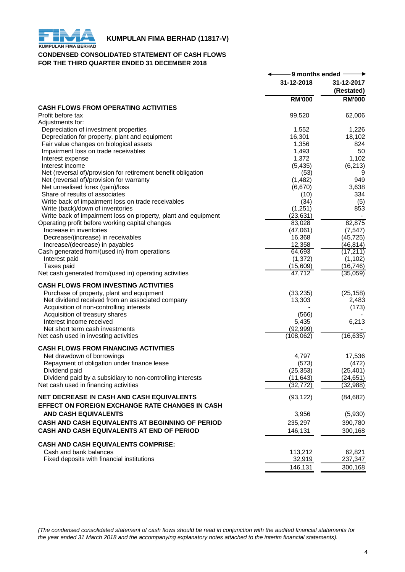

## **KUMPULAN FIMA BERHAD (11817-V)**<br>KUMPULAN FIMA BERHAD

## **CONDENSED CONSOLIDATED STATEMENT OF CASH FLOWS FOR THE THIRD QUARTER ENDED 31 DECEMBER 2018**

|                                                                      | -9 months ended $\cdot$ |                          |
|----------------------------------------------------------------------|-------------------------|--------------------------|
|                                                                      | 31-12-2018              | 31-12-2017<br>(Restated) |
|                                                                      | <b>RM'000</b>           | <b>RM'000</b>            |
| <b>CASH FLOWS FROM OPERATING ACTIVITIES</b>                          |                         |                          |
| Profit before tax<br>Adjustments for:                                | 99,520                  | 62,006                   |
| Depreciation of investment properties                                | 1,552                   | 1,226                    |
| Depreciation for property, plant and equipment                       | 16,301                  | 18,102                   |
| Fair value changes on biological assets                              | 1,356                   | 824                      |
| Impairment loss on trade receivables                                 | 1,493                   | 50                       |
| Interest expense                                                     | 1,372                   | 1,102                    |
| Interest income                                                      | (5, 435)                | (6, 213)                 |
| Net (reversal of)/provision for retirement benefit obligation        | (53)                    | 9                        |
| Net (reversal of)/provision for warranty                             | (1, 482)                | 949                      |
| Net unrealised forex (gain)/loss                                     | (6,670)                 | 3,638                    |
| Share of results of associates                                       | (10)                    | 334                      |
| Write back of impairment loss on trade receivables                   | (34)                    | (5)                      |
| Write (back)/down of inventories                                     | (1,251)                 | 853                      |
| Write back of impairment loss on property, plant and equipment       | (23, 631)               |                          |
| Operating profit before working capital changes                      | 83,028                  | 82,875                   |
| Increase in inventories                                              | (47,061)                | (7, 547)                 |
| Decrease/(increase) in receivables                                   | 16,368                  | (45, 725)                |
| Increase/(decrease) in payables                                      | 12,358                  | (46, 814)                |
| Cash generated from/(used in) from operations                        | 64,693                  | (17, 211)                |
| Interest paid                                                        | (1, 372)                | (1, 102)                 |
| Taxes paid                                                           | (15,609)                | (16, 746)                |
| Net cash generated from/(used in) operating activities               | 47,712                  | (35,059)                 |
| <b>CASH FLOWS FROM INVESTING ACTIVITIES</b>                          |                         |                          |
| Purchase of property, plant and equipment                            | (33, 235)               | (25, 158)                |
| Net dividend received from an associated company                     | 13,303                  | 2,483                    |
| Acquisition of non-controlling interests                             |                         | (173)                    |
| Acquisition of treasury shares                                       | (566)                   |                          |
| Interest income received                                             | 5,435                   | 6,213                    |
| Net short term cash investments                                      | (92, 999)               |                          |
| Net cash used in investing activities                                | (108, 062)              | (16, 635)                |
| <b>CASH FLOWS FROM FINANCING ACTIVITIES</b>                          |                         |                          |
| Net drawdown of borrowings                                           | 4,797                   | 17,536                   |
| Repayment of obligation under finance lease                          | (573)                   | (472)                    |
| Dividend paid                                                        | (25, 353)               | (25, 401)                |
| Dividend paid by a subsidiary to non-controlling interests           | (11, 643)               | (24, 651)                |
| Net cash used in financing activities                                | (32, 772)               | (32, 988)                |
| NET DECREASE IN CASH AND CASH EQUIVALENTS                            | (93, 122)               | (84, 682)                |
| <b>EFFECT ON FOREIGN EXCHANGE RATE CHANGES IN CASH</b>               |                         |                          |
| <b>AND CASH EQUIVALENTS</b>                                          | 3,956                   | (5,930)                  |
| CASH AND CASH EQUIVALENTS AT BEGINNING OF PERIOD                     | 235,297                 | 390,780                  |
| CASH AND CASH EQUIVALENTS AT END OF PERIOD                           | 146,131                 | 300,168                  |
|                                                                      |                         |                          |
| <b>CASH AND CASH EQUIVALENTS COMPRISE:</b>                           |                         |                          |
| Cash and bank balances<br>Fixed deposits with financial institutions | 113,212                 | 62,821                   |
|                                                                      | 32,919                  | 237,347                  |
|                                                                      | 146,131                 | 300,168                  |

*(The condensed consolidated statement of cash flows should be read in conjunction with the audited financial statements for the year ended 31 March 2018 and the accompanying explanatory notes attached to the interim financial statements).*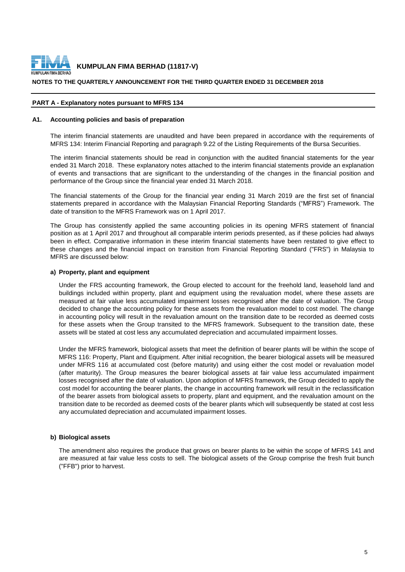

## **NOTES TO THE QUARTERLY ANNOUNCEMENT FOR THE THIRD QUARTER ENDED 31 DECEMBER 2018**

## **PART A - Explanatory notes pursuant to MFRS 134**

### **A1. Accounting policies and basis of preparation**

The interim financial statements are unaudited and have been prepared in accordance with the requirements of MFRS 134: Interim Financial Reporting and paragraph 9.22 of the Listing Requirements of the Bursa Securities.

The interim financial statements should be read in conjunction with the audited financial statements for the year ended 31 March 2018. These explanatory notes attached to the interim financial statements provide an explanation of events and transactions that are significant to the understanding of the changes in the financial position and performance of the Group since the financial year ended 31 March 2018.

The financial statements of the Group for the financial year ending 31 March 2019 are the first set of financial statements prepared in accordance with the Malaysian Financial Reporting Standards ("MFRS") Framework. The date of transition to the MFRS Framework was on 1 April 2017.

The Group has consistently applied the same accounting policies in its opening MFRS statement of financial position as at 1 April 2017 and throughout all comparable interim periods presented, as if these policies had always been in effect. Comparative information in these interim financial statements have been restated to give effect to these changes and the financial impact on transition from Financial Reporting Standard ("FRS") in Malaysia to MFRS are discussed below:

### **a) Property, plant and equipment**

Under the FRS accounting framework, the Group elected to account for the freehold land, leasehold land and buildings included within property, plant and equipment using the revaluation model, where these assets are measured at fair value less accumulated impairment losses recognised after the date of valuation. The Group decided to change the accounting policy for these assets from the revaluation model to cost model. The change in accounting policy will result in the revaluation amount on the transition date to be recorded as deemed costs for these assets when the Group transited to the MFRS framework. Subsequent to the transition date, these assets will be stated at cost less any accumulated depreciation and accumulated impairment losses.

Under the MFRS framework, biological assets that meet the definition of bearer plants will be within the scope of MFRS 116: Property, Plant and Equipment. After initial recognition, the bearer biological assets will be measured under MFRS 116 at accumulated cost (before maturity) and using either the cost model or revaluation model (after maturity). The Group measures the bearer biological assets at fair value less accumulated impairment losses recognised after the date of valuation. Upon adoption of MFRS framework, the Group decided to apply the cost model for accounting the bearer plants, the change in accounting framework will result in the reclassification of the bearer assets from biological assets to property, plant and equipment, and the revaluation amount on the transition date to be recorded as deemed costs of the bearer plants which will subsequently be stated at cost less any accumulated depreciation and accumulated impairment losses.

## **b) Biological assets**

The amendment also requires the produce that grows on bearer plants to be within the scope of MFRS 141 and are measured at fair value less costs to sell. The biological assets of the Group comprise the fresh fruit bunch ("FFB") prior to harvest.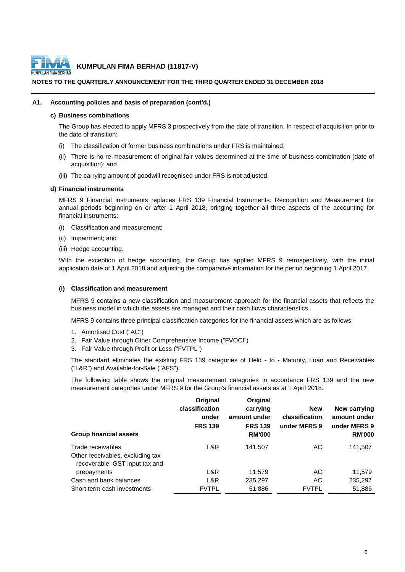

## **NOTES TO THE QUARTERLY ANNOUNCEMENT FOR THE THIRD QUARTER ENDED 31 DECEMBER 2018**

## **A1. Accounting policies and basis of preparation (cont'd.)**

## **c) Business combinations**

The Group has elected to apply MFRS 3 prospectively from the date of transition. In respect of acquisition prior to the date of transition:

- (i) The classification of former business combinations under FRS is maintained;
- (ii) There is no re-measurement of original fair values determined at the time of business combination (date of acquisition); and
- (iii) The carrying amount of goodwill recognised under FRS is not adjusted.

## **d) Financial instruments**

MFRS 9 Financial Instruments replaces FRS 139 Financial Instruments: Recognition and Measurement for annual periods beginning on or after 1 April 2018, bringing together all three aspects of the accounting for financial instruments:

- (i) Classification and measurement;
- (ii) Impairment; and
- (iii) Hedge accounting.

With the exception of hedge accounting, the Group has applied MFRS 9 retrospectively, with the initial application date of 1 April 2018 and adjusting the comparative information for the period beginning 1 April 2017.

#### **(i) Classification and measurement**

MFRS 9 contains a new classification and measurement approach for the financial assets that reflects the business model in which the assets are managed and their cash flows characteristics.

MFRS 9 contains three principal classification categories for the financial assets which are as follows:

- 1. Amortised Cost ("AC")
- 2. Fair Value through Other Comprehensive Income ("FVOCI")
- 3. Fair Value through Profit or Loss ("FVTPL")

The standard eliminates the existing FRS 139 categories of Held - to - Maturity, Loan and Receivables ("L&R") and Available-for-Sale ("AFS").

The following table shows the original measurement categories in accordance FRS 139 and the new measurement categories under MFRS 9 for the Group's financial assets as at 1 April 2018.

| <b>Group financial assets</b>                                      | Original<br>classification<br>under<br><b>FRS 139</b> | Original<br>carrying<br>amount under<br><b>FRS 139</b><br><b>RM'000</b> | <b>New</b><br>classification<br>under MFRS 9 | New carrying<br>amount under<br>under MFRS 9<br><b>RM'000</b> |
|--------------------------------------------------------------------|-------------------------------------------------------|-------------------------------------------------------------------------|----------------------------------------------|---------------------------------------------------------------|
| Trade receivables                                                  | L&R                                                   | 141.507                                                                 | АC                                           | 141,507                                                       |
| Other receivables, excluding tax<br>recoverable, GST input tax and |                                                       |                                                                         |                                              |                                                               |
| prepayments                                                        | L&R                                                   | 11,579                                                                  | AC                                           | 11,579                                                        |
| Cash and bank balances                                             | L&R                                                   | 235,297                                                                 | AC                                           | 235,297                                                       |
| Short term cash investments                                        | <b>FVTPL</b>                                          | 51,886                                                                  | <b>FVTPL</b>                                 | 51,886                                                        |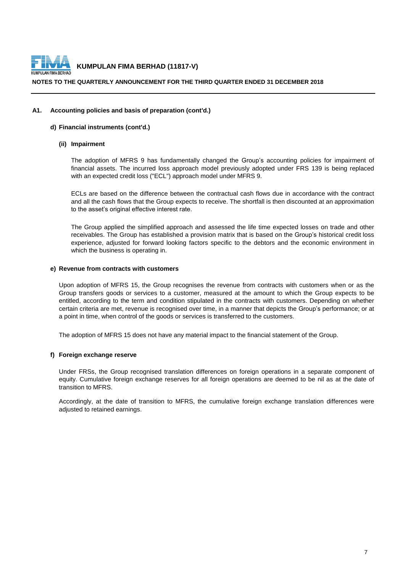

## **NOTES TO THE QUARTERLY ANNOUNCEMENT FOR THE THIRD QUARTER ENDED 31 DECEMBER 2018**

## **A1. Accounting policies and basis of preparation (cont'd.)**

## **d) Financial instruments (cont'd.)**

## **(ii) Impairment**

The adoption of MFRS 9 has fundamentally changed the Group's accounting policies for impairment of financial assets. The incurred loss approach model previously adopted under FRS 139 is being replaced with an expected credit loss ("ECL") approach model under MFRS 9.

ECLs are based on the difference between the contractual cash flows due in accordance with the contract and all the cash flows that the Group expects to receive. The shortfall is then discounted at an approximation to the asset's original effective interest rate.

The Group applied the simplified approach and assessed the life time expected losses on trade and other receivables. The Group has established a provision matrix that is based on the Group's historical credit loss experience, adjusted for forward looking factors specific to the debtors and the economic environment in which the business is operating in.

## **e) Revenue from contracts with customers**

Upon adoption of MFRS 15, the Group recognises the revenue from contracts with customers when or as the Group transfers goods or services to a customer, measured at the amount to which the Group expects to be entitled, according to the term and condition stipulated in the contracts with customers. Depending on whether certain criteria are met, revenue is recognised over time, in a manner that depicts the Group's performance; or at a point in time, when control of the goods or services is transferred to the customers.

The adoption of MFRS 15 does not have any material impact to the financial statement of the Group.

## **f) Foreign exchange reserve**

Under FRSs, the Group recognised translation differences on foreign operations in a separate component of equity. Cumulative foreign exchange reserves for all foreign operations are deemed to be nil as at the date of transition to MFRS.

Accordingly, at the date of transition to MFRS, the cumulative foreign exchange translation differences were adjusted to retained earnings.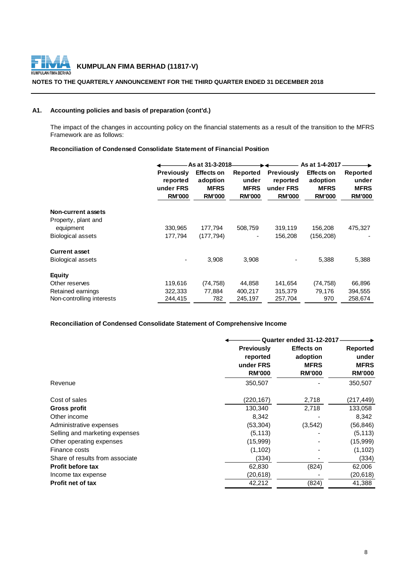

## **NOTES TO THE QUARTERLY ANNOUNCEMENT FOR THE THIRD QUARTER ENDED 31 DECEMBER 2018**

## **A1. Accounting policies and basis of preparation (cont'd.)**

The impact of the changes in accounting policy on the financial statements as a result of the transition to the MFRS Framework are as follows:

## **Reconciliation of Condensed Consolidate Statement of Financial Position**

|                           |                                                             | As at 31-3-2018-                                              |                                                   |                                                             | As at 1-4-2017                                                |                                                   |
|---------------------------|-------------------------------------------------------------|---------------------------------------------------------------|---------------------------------------------------|-------------------------------------------------------------|---------------------------------------------------------------|---------------------------------------------------|
|                           | <b>Previously</b><br>reported<br>under FRS<br><b>RM'000</b> | <b>Effects on</b><br>adoption<br><b>MFRS</b><br><b>RM'000</b> | Reported<br>under<br><b>MFRS</b><br><b>RM'000</b> | <b>Previously</b><br>reported<br>under FRS<br><b>RM'000</b> | <b>Effects on</b><br>adoption<br><b>MFRS</b><br><b>RM'000</b> | Reported<br>under<br><b>MFRS</b><br><b>RM'000</b> |
| <b>Non-current assets</b> |                                                             |                                                               |                                                   |                                                             |                                                               |                                                   |
| Property, plant and       |                                                             |                                                               |                                                   |                                                             |                                                               |                                                   |
| equipment                 | 330,965                                                     | 177,794                                                       | 508,759                                           | 319,119                                                     | 156,208                                                       | 475,327                                           |
| <b>Biological assets</b>  | 177.794                                                     | (177, 794)                                                    | $\qquad \qquad \blacksquare$                      | 156,208                                                     | (156, 208)                                                    |                                                   |
| <b>Current asset</b>      |                                                             |                                                               |                                                   |                                                             |                                                               |                                                   |
| <b>Biological assets</b>  |                                                             | 3,908                                                         | 3,908                                             |                                                             | 5,388                                                         | 5,388                                             |
| <b>Equity</b>             |                                                             |                                                               |                                                   |                                                             |                                                               |                                                   |
| Other reserves            | 119,616                                                     | (74, 758)                                                     | 44,858                                            | 141,654                                                     | (74, 758)                                                     | 66,896                                            |
| Retained earnings         | 322,333                                                     | 77.884                                                        | 400,217                                           | 315,379                                                     | 79,176                                                        | 394,555                                           |
| Non-controlling interests | 244,415                                                     | 782                                                           | 245,197                                           | 257,704                                                     | 970                                                           | 258,674                                           |

## **Reconciliation of Condensed Consolidate Statement of Comprehensive Income**

|                                 |                   | <b>Quarter ended 31-12-2017-</b> |                 |  |  |
|---------------------------------|-------------------|----------------------------------|-----------------|--|--|
|                                 | <b>Previously</b> | <b>Effects on</b>                | <b>Reported</b> |  |  |
|                                 | reported          | adoption                         | under           |  |  |
|                                 | under FRS         | <b>MFRS</b>                      | <b>MFRS</b>     |  |  |
|                                 | <b>RM'000</b>     | <b>RM'000</b>                    | <b>RM'000</b>   |  |  |
| Revenue                         | 350,507           |                                  | 350,507         |  |  |
| Cost of sales                   | (220,167)         | 2,718                            | (217, 449)      |  |  |
| Gross profit                    | 130,340           | 2,718                            | 133,058         |  |  |
| Other income                    | 8,342             |                                  | 8,342           |  |  |
| Administrative expenses         | (53,304)          | (3,542)                          | (56, 846)       |  |  |
| Selling and marketing expenses  | (5, 113)          |                                  | (5, 113)        |  |  |
| Other operating expenses        | (15,999)          |                                  | (15,999)        |  |  |
| Finance costs                   | (1, 102)          |                                  | (1, 102)        |  |  |
| Share of results from associate | (334)             |                                  | (334)           |  |  |
| <b>Profit before tax</b>        | 62,830            | (824)                            | 62,006          |  |  |
| Income tax expense              | (20,618)          |                                  | (20, 618)       |  |  |
| <b>Profit net of tax</b>        | 42,212            | (824)                            | 41,388          |  |  |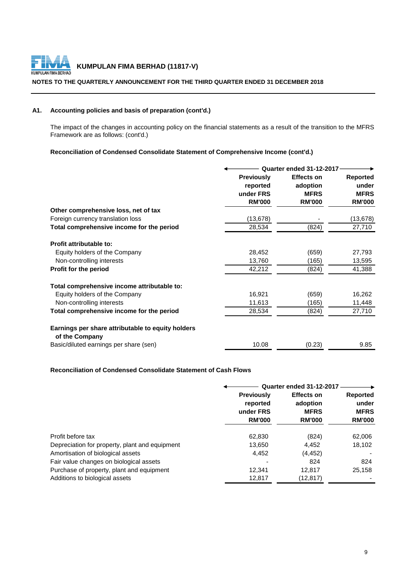

## **NOTES TO THE QUARTERLY ANNOUNCEMENT FOR THE THIRD QUARTER ENDED 31 DECEMBER 2018**

## **A1. Accounting policies and basis of preparation (cont'd.)**

The impact of the changes in accounting policy on the financial statements as a result of the transition to the MFRS Framework are as follows: (cont'd.)

## **Reconciliation of Condensed Consolidate Statement of Comprehensive Income (cont'd.)**

|                                                                     | <b>Quarter ended 31-12-2017</b> |                   |                 |  |
|---------------------------------------------------------------------|---------------------------------|-------------------|-----------------|--|
|                                                                     | <b>Previously</b>               | <b>Effects on</b> | <b>Reported</b> |  |
|                                                                     | reported                        | adoption          | under           |  |
|                                                                     | under FRS                       | <b>MFRS</b>       | <b>MFRS</b>     |  |
|                                                                     | <b>RM'000</b>                   | <b>RM'000</b>     | <b>RM'000</b>   |  |
| Other comprehensive loss, net of tax                                |                                 |                   |                 |  |
| Foreign currency translation loss                                   | (13, 678)                       |                   | (13, 678)       |  |
| Total comprehensive income for the period                           | 28,534                          | (824)             | 27,710          |  |
| Profit attributable to:                                             |                                 |                   |                 |  |
| Equity holders of the Company                                       | 28,452                          | (659)             | 27,793          |  |
| Non-controlling interests                                           | 13,760                          | (165)             | 13,595          |  |
| Profit for the period                                               | 42,212                          | (824)             | 41,388          |  |
| Total comprehensive income attributable to:                         |                                 |                   |                 |  |
| Equity holders of the Company                                       | 16,921                          | (659)             | 16,262          |  |
| Non-controlling interests                                           | 11,613                          | (165)             | 11,448          |  |
| Total comprehensive income for the period                           | 28,534                          | (824)             | 27,710          |  |
| Earnings per share attributable to equity holders<br>of the Company |                                 |                   |                 |  |
| Basic/diluted earnings per share (sen)                              | 10.08                           | (0.23)            | 9.85            |  |

## **Reconciliation of Condensed Consolidate Statement of Cash Flows**

|                                                | Quarter ended 31-12-2017                   |               |               |                                              |                                         |
|------------------------------------------------|--------------------------------------------|---------------|---------------|----------------------------------------------|-----------------------------------------|
|                                                | <b>Previously</b><br>reported<br>under FRS |               |               | <b>Effects on</b><br>adoption<br><b>MFRS</b> | <b>Reported</b><br>under<br><b>MFRS</b> |
|                                                | <b>RM'000</b>                              | <b>RM'000</b> | <b>RM'000</b> |                                              |                                         |
| Profit before tax                              | 62,830                                     | (824)         | 62,006        |                                              |                                         |
| Depreciation for property, plant and equipment | 13,650                                     | 4,452         | 18,102        |                                              |                                         |
| Amortisation of biological assets              | 4,452                                      | (4, 452)      |               |                                              |                                         |
| Fair value changes on biological assets        |                                            | 824           | 824           |                                              |                                         |
| Purchase of property, plant and equipment      | 12.341                                     | 12,817        | 25,158        |                                              |                                         |
| Additions to biological assets                 | 12,817                                     | (12, 817)     |               |                                              |                                         |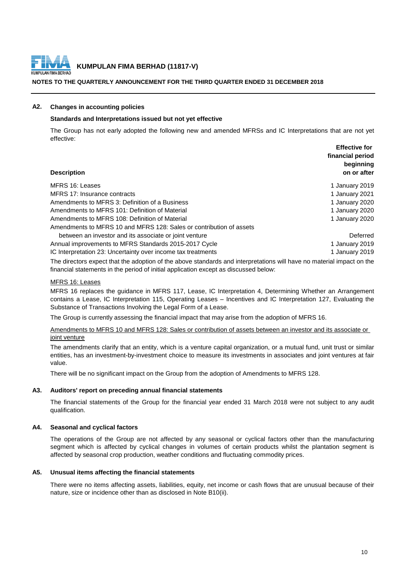

## **NOTES TO THE QUARTERLY ANNOUNCEMENT FOR THE THIRD QUARTER ENDED 31 DECEMBER 2018**

## **A2. Changes in accounting policies**

## **Standards and Interpretations issued but not yet effective**

The Group has not early adopted the following new and amended MFRSs and IC Interpretations that are not yet effective:

| <b>Effective for</b><br>financial period<br>beginning<br>on or after |
|----------------------------------------------------------------------|
| 1 January 2019                                                       |
| 1 January 2021                                                       |
| 1 January 2020                                                       |
| 1 January 2020                                                       |
| 1 January 2020                                                       |
|                                                                      |
| Deferred                                                             |
| 1 January 2019                                                       |
| 1 January 2019                                                       |
|                                                                      |

The directors expect that the adoption of the above standards and interpretations will have no material impact on the financial statements in the period of initial application except as discussed below:

### MFRS 16: Leases

MFRS 16 replaces the guidance in MFRS 117, Lease, IC Interpretation 4, Determining Whether an Arrangement contains a Lease, IC Interpretation 115, Operating Leases – Incentives and IC Interpretation 127, Evaluating the Substance of Transactions Involving the Legal Form of a Lease.

The Group is currently assessing the financial impact that may arise from the adoption of MFRS 16.

Amendments to MFRS 10 and MFRS 128: Sales or contribution of assets between an investor and its associate or joint venture

The amendments clarify that an entity, which is a venture capital organization, or a mutual fund, unit trust or similar entities, has an investment-by-investment choice to measure its investments in associates and joint ventures at fair value.

There will be no significant impact on the Group from the adoption of Amendments to MFRS 128.

## **A3. Auditors' report on preceding annual financial statements**

The financial statements of the Group for the financial year ended 31 March 2018 were not subject to any audit qualification.

## **A4. Seasonal and cyclical factors**

The operations of the Group are not affected by any seasonal or cyclical factors other than the manufacturing segment which is affected by cyclical changes in volumes of certain products whilst the plantation segment is affected by seasonal crop production, weather conditions and fluctuating commodity prices.

## **A5. Unusual items affecting the financial statements**

There were no items affecting assets, liabilities, equity, net income or cash flows that are unusual because of their nature, size or incidence other than as disclosed in Note B10(ii).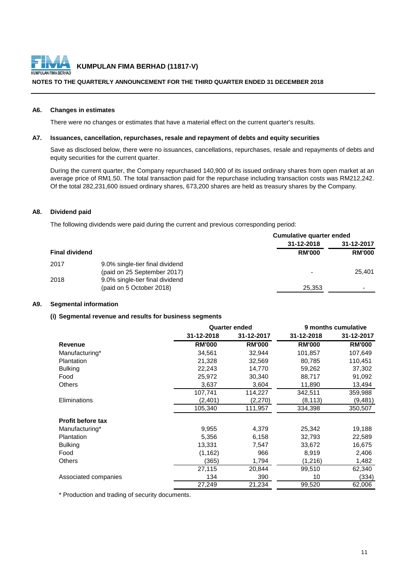

## **NOTES TO THE QUARTERLY ANNOUNCEMENT FOR THE THIRD QUARTER ENDED 31 DECEMBER 2018**

### **A6. Changes in estimates**

There were no changes or estimates that have a material effect on the current quarter's results.

## **A7. Issuances, cancellation, repurchases, resale and repayment of debts and equity securities**

Save as disclosed below, there were no issuances, cancellations, repurchases, resale and repayments of debts and equity securities for the current quarter.

During the current quarter, the Company repurchased 140,900 of its issued ordinary shares from open market at an average price of RM1.50. The total transaction paid for the repurchase including transaction costs was RM212,242. Of the total 282,231,600 issued ordinary shares, 673,200 shares are held as treasury shares by the Company.

## **A8. Dividend paid**

The following dividends were paid during the current and previous corresponding period:

|                       |                                 | Cumulative quarter ended |               |  |  |
|-----------------------|---------------------------------|--------------------------|---------------|--|--|
|                       |                                 | 31-12-2018               | 31-12-2017    |  |  |
| <b>Final dividend</b> |                                 | <b>RM'000</b>            | <b>RM'000</b> |  |  |
| 2017                  | 9.0% single-tier final dividend |                          |               |  |  |
|                       | (paid on 25 September 2017)     | $\,$                     | 25,401        |  |  |
| 2018                  | 9.0% single-tier final dividend |                          |               |  |  |
|                       | (paid on 5 October 2018)        | 25,353                   |               |  |  |
|                       |                                 |                          |               |  |  |

## **A9. Segmental information**

## **(i) Segmental revenue and results for business segments**

|                          |               | <b>Quarter ended</b> |               | 9 months cumulative |  |  |
|--------------------------|---------------|----------------------|---------------|---------------------|--|--|
|                          | 31-12-2018    | 31-12-2017           | 31-12-2018    | 31-12-2017          |  |  |
| <b>Revenue</b>           | <b>RM'000</b> | <b>RM'000</b>        | <b>RM'000</b> | <b>RM'000</b>       |  |  |
| Manufacturing*           | 34,561        | 32,944               | 101,857       | 107,649             |  |  |
| <b>Plantation</b>        | 21,328        | 32,569               | 80,785        | 110,451             |  |  |
| <b>Bulking</b>           | 22,243        | 14,770               | 59,262        | 37,302              |  |  |
| Food                     | 25,972        | 30,340               | 88,717        | 91,092              |  |  |
| <b>Others</b>            | 3,637         | 3,604                | 11,890        | 13,494              |  |  |
|                          | 107,741       | 114,227              | 342,511       | 359,988             |  |  |
| Eliminations             | (2,401)       | (2,270)              | (8, 113)      | (9,481)             |  |  |
|                          | 105,340       | 111,957              | 334,398       | 350,507             |  |  |
| <b>Profit before tax</b> |               |                      |               |                     |  |  |
| Manufacturing*           | 9,955         | 4,379                | 25,342        | 19,188              |  |  |
| <b>Plantation</b>        | 5,356         | 6,158                | 32,793        | 22,589              |  |  |
| <b>Bulking</b>           | 13,331        | 7,547                | 33,672        | 16,675              |  |  |
| Food                     | (1, 162)      | 966                  | 8,919         | 2,406               |  |  |
| <b>Others</b>            | (365)         | 1,794                | (1,216)       | 1,482               |  |  |
|                          | 27,115        | 20,844               | 99,510        | 62,340              |  |  |
| Associated companies     | 134           | 390                  | 10            | (334)               |  |  |
|                          | 27,249        | 21,234               | 99,520        | 62,006              |  |  |

\* Production and trading of security documents.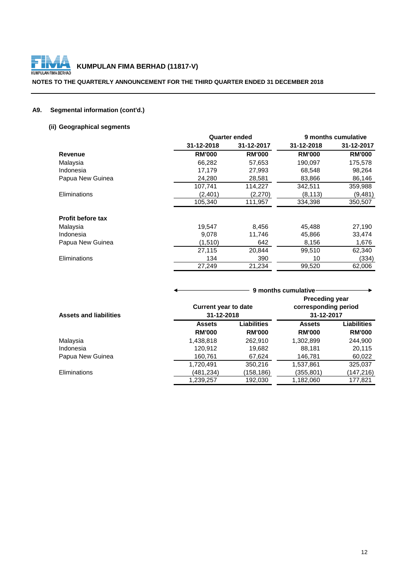

## **NOTES TO THE QUARTERLY ANNOUNCEMENT FOR THE THIRD QUARTER ENDED 31 DECEMBER 2018**

## **A9. Segmental information (cont'd.)**

## **(ii) Geographical segments**

|                          | <b>Quarter ended</b> |               |               | 9 months cumulative |
|--------------------------|----------------------|---------------|---------------|---------------------|
|                          | 31-12-2018           | 31-12-2017    | 31-12-2018    | 31-12-2017          |
| Revenue                  | <b>RM'000</b>        | <b>RM'000</b> | <b>RM'000</b> | <b>RM'000</b>       |
| Malaysia                 | 66,282               | 57,653        | 190,097       | 175,578             |
| Indonesia                | 17,179               | 27,993        | 68,548        | 98,264              |
| Papua New Guinea         | 24,280               | 28,581        | 83,866        | 86,146              |
|                          | 107,741              | 114,227       | 342,511       | 359,988             |
| Eliminations             | (2,401)              | (2,270)       | (8, 113)      | (9, 481)            |
|                          | 105,340              | 111,957       | 334,398       | 350,507             |
| <b>Profit before tax</b> |                      |               |               |                     |
| Malaysia                 | 19,547               | 8,456         | 45,488        | 27,190              |
| Indonesia                | 9,078                | 11,746        | 45,866        | 33,474              |
| Papua New Guinea         | (1,510)              | 642           | 8,156         | 1,676               |
|                          | 27,115               | 20,844        | 99,510        | 62,340              |
| Eliminations             | 134                  | 390           | 10            | (334)               |
|                          | 27,249               | 21,234        | 99,520        | 62,006              |

|                               |                                           |                              | 9 months cumulative                                         |                              |
|-------------------------------|-------------------------------------------|------------------------------|-------------------------------------------------------------|------------------------------|
| <b>Assets and liabilities</b> | <b>Current year to date</b><br>31-12-2018 |                              | <b>Preceding year</b><br>corresponding period<br>31-12-2017 |                              |
|                               | <b>Assets</b><br><b>RM'000</b>            | Liabilities<br><b>RM'000</b> | <b>Assets</b><br><b>RM'000</b>                              | Liabilities<br><b>RM'000</b> |
| Malaysia                      | 1,438,818                                 | 262,910                      | 1,302,899                                                   | 244,900                      |
| Indonesia                     | 120,912                                   | 19,682                       | 88,181                                                      | 20,115                       |
| Papua New Guinea              | 160,761                                   | 67,624                       | 146,781                                                     | 60,022                       |
|                               | 1,720,491                                 | 350,216                      | 1,537,861                                                   | 325,037                      |
| <b>Eliminations</b>           | (481,234)                                 | (158,186)                    | (355,801)                                                   | (147, 216)                   |
|                               | 1,239,257                                 | 192,030                      | 1,182,060                                                   | 177,821                      |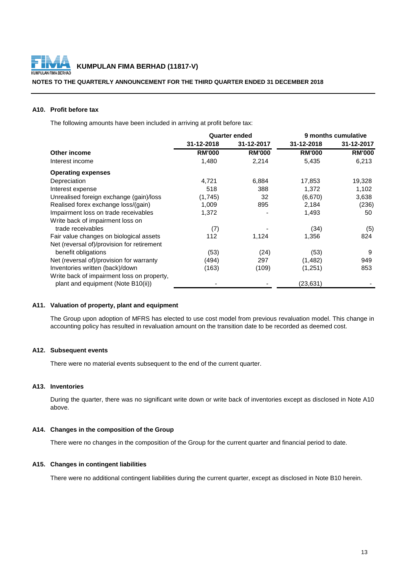

## **NOTES TO THE QUARTERLY ANNOUNCEMENT FOR THE THIRD QUARTER ENDED 31 DECEMBER 2018**

## **A10. Profit before tax**

The following amounts have been included in arriving at profit before tax:

|               | <b>Quarter ended</b> |               | 9 months cumulative |  |
|---------------|----------------------|---------------|---------------------|--|
| 31-12-2018    | 31-12-2017           | 31-12-2018    | 31-12-2017          |  |
| <b>RM'000</b> | <b>RM'000</b>        | <b>RM'000</b> | <b>RM'000</b>       |  |
| 1,480         | 2,214                | 5,435         | 6,213               |  |
|               |                      |               |                     |  |
| 4,721         | 6,884                | 17,853        | 19,328              |  |
| 518           | 388                  | 1,372         | 1,102               |  |
| (1,745)       | 32                   | (6,670)       | 3,638               |  |
| 1,009         | 895                  | 2,184         | (236)               |  |
| 1,372         |                      | 1,493         | 50                  |  |
|               |                      |               |                     |  |
| (7)           |                      | (34)          | (5)                 |  |
| 112           | 1,124                | 1,356         | 824                 |  |
|               |                      |               |                     |  |
| (53)          | (24)                 | (53)          | 9                   |  |
| (494)         | 297                  | (1, 482)      | 949                 |  |
| (163)         | (109)                | (1,251)       | 853                 |  |
|               |                      |               |                     |  |
|               |                      | (23, 631)     |                     |  |
|               |                      |               |                     |  |

## **A11. Valuation of property, plant and equipment**

The Group upon adoption of MFRS has elected to use cost model from previous revaluation model. This change in accounting policy has resulted in revaluation amount on the transition date to be recorded as deemed cost.

### **A12. Subsequent events**

There were no material events subsequent to the end of the current quarter.

## **A13. Inventories**

During the quarter, there was no significant write down or write back of inventories except as disclosed in Note A10 above.

## **A14. Changes in the composition of the Group**

There were no changes in the composition of the Group for the current quarter and financial period to date.

## **A15. Changes in contingent liabilities**

There were no additional contingent liabilities during the current quarter, except as disclosed in Note B10 herein.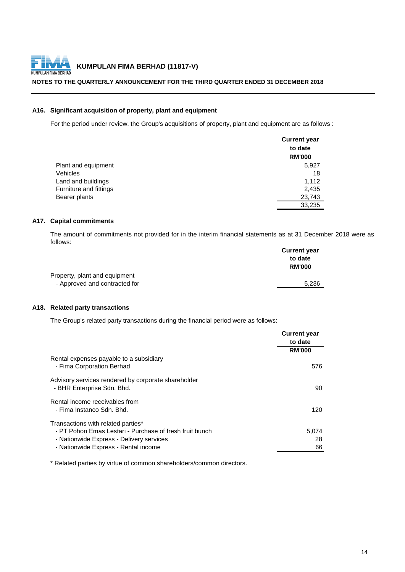

## **NOTES TO THE QUARTERLY ANNOUNCEMENT FOR THE THIRD QUARTER ENDED 31 DECEMBER 2018**

## **A16. Significant acquisition of property, plant and equipment**

For the period under review, the Group's acquisitions of property, plant and equipment are as follows :

|                        | <b>Current year</b> |
|------------------------|---------------------|
|                        | to date             |
|                        | <b>RM'000</b>       |
| Plant and equipment    | 5,927               |
| Vehicles               | 18                  |
| Land and buildings     | 1,112               |
| Furniture and fittings | 2,435               |
| Bearer plants          | 23,743              |
|                        | 33,235              |

## **A17. Capital commitments**

The amount of commitments not provided for in the interim financial statements as at 31 December 2018 were as follows:

|                               | <b>Current year</b> |
|-------------------------------|---------------------|
|                               | to date             |
|                               | <b>RM'000</b>       |
| Property, plant and equipment |                     |
| - Approved and contracted for | 5.236               |

## **A18. Related party transactions**

The Group's related party transactions during the financial period were as follows:

|                                                                                   | <b>Current year</b><br>to date |
|-----------------------------------------------------------------------------------|--------------------------------|
|                                                                                   | <b>RM'000</b>                  |
| Rental expenses payable to a subsidiary<br>- Fima Corporation Berhad              | 576                            |
| Advisory services rendered by corporate shareholder<br>- BHR Enterprise Sdn. Bhd. | 90                             |
| Rental income receivables from<br>- Fima Instanco Sdn. Bhd.                       | 120                            |
| Transactions with related parties*                                                |                                |
| - PT Pohon Emas Lestari - Purchase of fresh fruit bunch                           | 5,074                          |
| - Nationwide Express - Delivery services                                          | 28                             |
| - Nationwide Express - Rental income                                              | 66                             |

\* Related parties by virtue of common shareholders/common directors.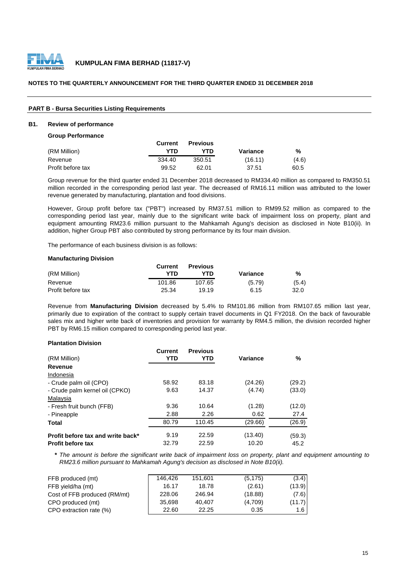

## **NOTES TO THE QUARTERLY ANNOUNCEMENT FOR THE THIRD QUARTER ENDED 31 DECEMBER 2018**

### **PART B - Bursa Securities Listing Requirements**

#### **B1. Review of performance**

**Group Performance**

|                   | Current | <b>Previous</b> |          |       |
|-------------------|---------|-----------------|----------|-------|
| (RM Million)      | YTD     | YTD             | Variance | %     |
| Revenue           | 334.40  | 350.51          | (16.11)  | (4.6) |
| Profit before tax | 99.52   | 62.01           | 37.51    | 60.5  |

Group revenue for the third quarter ended 31 December 2018 decreased to RM334.40 million as compared to RM350.51 million recorded in the corresponding period last year. The decreased of RM16.11 million was attributed to the lower revenue generated by manufacturing, plantation and food divisions.

However, Group profit before tax ("PBT") increased by RM37.51 million to RM99.52 million as compared to the corresponding period last year, mainly due to the significant write back of impairment loss on property, plant and equipment amounting RM23.6 million pursuant to the Mahkamah Agung's decision as disclosed in Note B10(ii). In addition, higher Group PBT also contributed by strong performance by its four main division.

The performance of each business division is as follows:

#### **Manufacturing Division**

|                   | Current | <b>Previous</b> |          |       |
|-------------------|---------|-----------------|----------|-------|
| (RM Million)      | YTD     | YTD             | Variance | %     |
| Revenue           | 101.86  | 107.65          | (5.79)   | (5.4) |
| Profit before tax | 25.34   | 19.19           | 6.15     | 32.0  |

Revenue from **Manufacturing Division** decreased by 5.4% to RM101.86 million from RM107.65 million last year, primarily due to expiration of the contract to supply certain travel documents in Q1 FY2018. On the back of favourable sales mix and higher write back of inventories and provision for warranty by RM4.5 million, the division recorded higher PBT by RM6.15 million compared to corresponding period last year.

#### **Plantation Division**

| (RM Million)                      | <b>Current</b><br><b>YTD</b> | <b>Previous</b><br>YTD | Variance | %      |
|-----------------------------------|------------------------------|------------------------|----------|--------|
| Revenue                           |                              |                        |          |        |
| Indonesia                         |                              |                        |          |        |
| - Crude palm oil (CPO)            | 58.92                        | 83.18                  | (24.26)  | (29.2) |
| - Crude palm kernel oil (CPKO)    | 9.63                         | 14.37                  | (4.74)   | (33.0) |
| Malaysia                          |                              |                        |          |        |
| - Fresh fruit bunch (FFB)         | 9.36                         | 10.64                  | (1.28)   | (12.0) |
| - Pineapple                       | 2.88                         | 2.26                   | 0.62     | 27.4   |
| Total                             | 80.79                        | 110.45                 | (29.66)  | (26.9) |
| Profit before tax and write back* | 9.19                         | 22.59                  | (13.40)  | (59.3) |
| <b>Profit before tax</b>          | 32.79                        | 22.59                  | 10.20    | 45.2   |

\* The amount is before the significant write back of impairment loss on property, plant and equipment amounting to *RM23.6 million pursuant to Mahkamah Agung's decision as disclosed in Note B10(ii).*

| FFB produced (mt)            | 146.426 | 151.601 | (5, 175) | (3.4)      |
|------------------------------|---------|---------|----------|------------|
| FFB yield/ha (mt)            | 16.17   | 18.78   | (2.61)   | (13.9)     |
| Cost of FFB produced (RM/mt) | 228.06  | 246.94  | (18.88)  | (7.6)      |
| CPO produced (mt)            | 35.698  | 40.407  | (4,709)  | (11.7)     |
| CPO extraction rate (%)      | 22.60   | 22.25   | 0.35     | $1.6 \mid$ |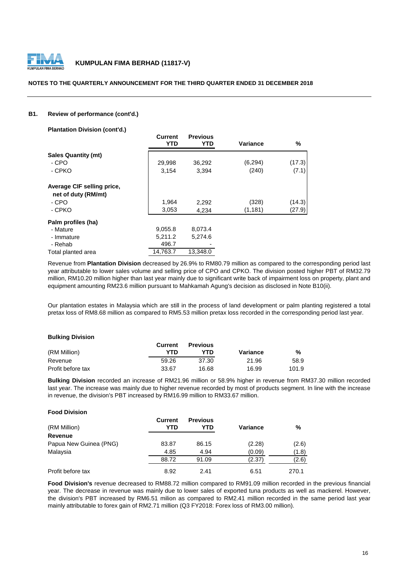

### **NOTES TO THE QUARTERLY ANNOUNCEMENT FOR THE THIRD QUARTER ENDED 31 DECEMBER 2018**

## **B1. Review of performance (cont'd.)**

**Plantation Division (cont'd.)**

|                                                   | <b>Current</b><br><b>YTD</b> | <b>Previous</b><br>YTD | Variance | %      |
|---------------------------------------------------|------------------------------|------------------------|----------|--------|
| <b>Sales Quantity (mt)</b>                        |                              |                        |          |        |
| - CPO                                             | 29,998                       | 36,292                 | (6, 294) | (17.3) |
| - CPKO                                            | 3,154                        | 3,394                  | (240)    | (7.1)  |
| Average CIF selling price,<br>net of duty (RM/mt) |                              |                        |          |        |
| - CPO                                             | 1,964                        | 2,292                  | (328)    | (14.3) |
| - CPKO                                            | 3,053                        | 4,234                  | (1, 181) | (27.9) |
| Palm profiles (ha)                                |                              |                        |          |        |
| - Mature                                          | 9,055.8                      | 8,073.4                |          |        |
| - Immature                                        | 5,211.2                      | 5,274.6                |          |        |
| - Rehab                                           | 496.7                        |                        |          |        |
| Total planted area                                | 14,763.7                     | 13,348.0               |          |        |

Revenue from **Plantation Division** decreased by 26.9% to RM80.79 million as compared to the corresponding period last year attributable to lower sales volume and selling price of CPO and CPKO. The division posted higher PBT of RM32.79 million, RM10.20 million higher than last year mainly due to significant write back of impairment loss on property, plant and equipment amounting RM23.6 million pursuant to Mahkamah Agung's decision as disclosed in Note B10(ii).

Our plantation estates in Malaysia which are still in the process of land development or palm planting registered a total pretax loss of RM8.68 million as compared to RM5.53 million pretax loss recorded in the corresponding period last year.

#### **Bulking Division**

|                   | Current | <b>Previous</b> |          |       |
|-------------------|---------|-----------------|----------|-------|
| (RM Million)      | YTN     | YTN             | Variance | %     |
| Revenue           | 59.26   | 37.30           | 21.96    | 58.9  |
| Profit before tax | 33.67   | 16.68           | 16.99    | 101.9 |

**Bulking Division** recorded an increase of RM21.96 million or 58.9% higher in revenue from RM37.30 million recorded last year. The increase was mainly due to higher revenue recorded by most of products segment. In line with the increase in revenue, the division's PBT increased by RM16.99 million to RM33.67 million.

## **Food Division**

| (RM Million)           | <b>Current</b><br>YTD | <b>Previous</b><br>YTD | Variance | %     |
|------------------------|-----------------------|------------------------|----------|-------|
| <b>Revenue</b>         |                       |                        |          |       |
| Papua New Guinea (PNG) | 83.87                 | 86.15                  | (2.28)   | (2.6) |
| Malaysia               | 4.85                  | 4.94                   | (0.09)   | (1.8) |
|                        | 88.72                 | 91.09                  | (2.37)   | (2.6) |
| Profit before tax      | 8.92                  | 2.41                   | 6.51     | 270.1 |

**Food Division's** revenue decreased to RM88.72 million compared to RM91.09 million recorded in the previous financial year. The decrease in revenue was mainly due to lower sales of exported tuna products as well as mackerel. However, the division's PBT increased by RM6.51 milion as compared to RM2.41 million recorded in the same period last year mainly attributable to forex gain of RM2.71 million (Q3 FY2018: Forex loss of RM3.00 million).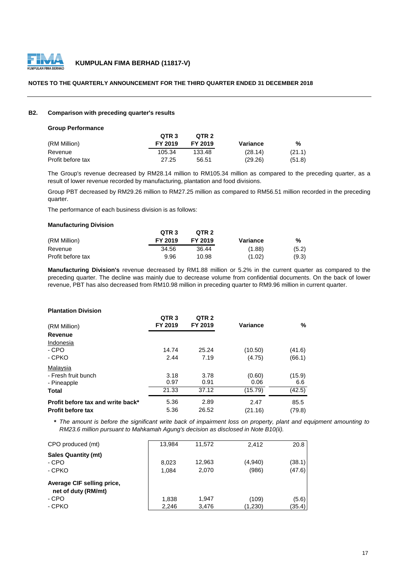

## **NOTES TO THE QUARTERLY ANNOUNCEMENT FOR THE THIRD QUARTER ENDED 31 DECEMBER 2018**

### **B2. Comparison with preceding quarter's results**

#### **Group Performance**

|                   | QTR <sub>3</sub> | OTR <sub>2</sub> |          |        |
|-------------------|------------------|------------------|----------|--------|
| (RM Million)      | FY 2019          | FY 2019          | Variance | %      |
| Revenue           | 105.34           | 133.48           | (28.14)  | (21.1) |
| Profit before tax | 27.25            | 56.51            | (29.26)  | (51.8) |

The Group's revenue decreased by RM28.14 million to RM105.34 million as compared to the preceding quarter, as a result of lower revenue recorded by manufacturing, plantation and food divisions.

Group PBT decreased by RM29.26 million to RM27.25 million as compared to RM56.51 million recorded in the preceding quarter.

The performance of each business division is as follows:

## **Manufacturing Division**

|                   | QTR <sub>3</sub> | OTR <sub>2</sub> |          |       |
|-------------------|------------------|------------------|----------|-------|
| (RM Million)      | FY 2019          | FY 2019          | Variance | %     |
| Revenue           | 34.56            | 36.44            | (1.88)   | (5.2) |
| Profit before tax | 9.96             | 10.98            | (1.02)   | (9.3) |

**Manufacturing Division's** revenue decreased by RM1.88 million or 5.2% in the current quarter as compared to the preceding quarter. The decline was mainly due to decrease volume from confidential documents. On the back of lower revenue, PBT has also decreased from RM10.98 million in preceding quarter to RM9.96 million in current quarter.

## **Plantation Division**

| (RM Million)                      | QTR <sub>3</sub><br>FY 2019 | QTR <sub>2</sub><br>FY 2019 | Variance | %      |
|-----------------------------------|-----------------------------|-----------------------------|----------|--------|
| Revenue                           |                             |                             |          |        |
| Indonesia                         |                             |                             |          |        |
| - CPO                             | 14.74                       | 25.24                       | (10.50)  | (41.6) |
| - CPKO                            | 2.44                        | 7.19                        | (4.75)   | (66.1) |
| Malaysia                          |                             |                             |          |        |
| - Fresh fruit bunch               | 3.18                        | 3.78                        | (0.60)   | (15.9) |
| - Pineapple                       | 0.97                        | 0.91                        | 0.06     | 6.6    |
| Total                             | 21.33                       | 37.12                       | (15.79)  | (42.5) |
| Profit before tax and write back* | 5.36                        | 2.89                        | 2.47     | 85.5   |
| <b>Profit before tax</b>          | 5.36                        | 26.52                       | (21.16)  | (79.8) |

\* The amount is before the significant write back of impairment loss on property, plant and equipment amounting to *RM23.6 million pursuant to Mahkamah Agung's decision as disclosed in Note B10(ii).*

| CPO produced (mt)                                 | 13.984         | 11.572          | 2.412            | 20.8             |
|---------------------------------------------------|----------------|-----------------|------------------|------------------|
| <b>Sales Quantity (mt)</b><br>- CPO<br>- CPKO     | 8.023<br>1.084 | 12.963<br>2,070 | (4,940)<br>(986) | (38.1)<br>(47.6) |
| Average CIF selling price,<br>net of duty (RM/mt) |                |                 |                  |                  |
| - CPO                                             | 1,838          | 1.947           | (109)            | (5.6)            |
| - CPKO                                            | 2,246          | 3,476           | (1,230)          | (35.4)           |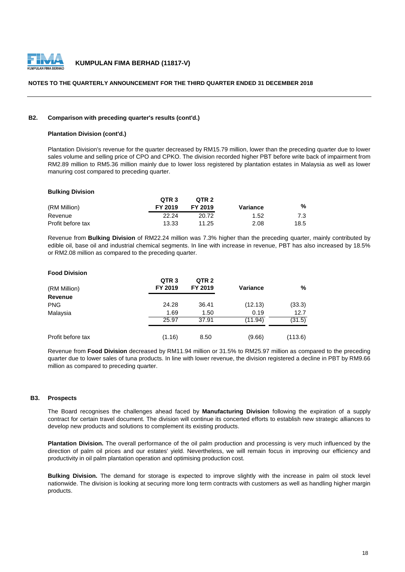

## **NOTES TO THE QUARTERLY ANNOUNCEMENT FOR THE THIRD QUARTER ENDED 31 DECEMBER 2018**

## **B2. Comparison with preceding quarter's results (cont'd.)**

## **Plantation Division (cont'd.)**

Plantation Division's revenue for the quarter decreased by RM15.79 million, lower than the preceding quarter due to lower sales volume and selling price of CPO and CPKO. The division recorded higher PBT before write back of impairment from RM2.89 million to RM5.36 million mainly due to lower loss registered by plantation estates in Malaysia as well as lower manuring cost compared to preceding quarter.

### **Bulking Division**

|                   | OTR <sub>3</sub> | OTR <sub>2</sub> |          |      |
|-------------------|------------------|------------------|----------|------|
| (RM Million)      | FY 2019          | FY 2019          | Variance | %    |
| Revenue           | 22.24            | 20.72            | 1.52     | 7.3  |
| Profit before tax | 13.33            | 11.25            | 2.08     | 18.5 |

Revenue from **Bulking Division** of RM22.24 million was 7.3% higher than the preceding quarter, mainly contributed by edible oil, base oil and industrial chemical segments. In line with increase in revenue, PBT has also increased by 18.5% or RM2.08 million as compared to the preceding quarter.

## **Food Division**

| (RM Million)      | QTR <sub>3</sub><br>FY 2019 | QTR <sub>2</sub><br>FY 2019 | <b>Variance</b> | %       |
|-------------------|-----------------------------|-----------------------------|-----------------|---------|
| Revenue           |                             |                             |                 |         |
| <b>PNG</b>        | 24.28                       | 36.41                       | (12.13)         | (33.3)  |
| Malaysia          | 1.69                        | 1.50                        | 0.19            | 12.7    |
|                   | 25.97                       | 37.91                       | (11.94)         | (31.5)  |
| Profit before tax | (1.16)                      | 8.50                        | (9.66)          | (113.6) |

Revenue from **Food Division** decreased by RM11.94 million or 31.5% to RM25.97 million as compared to the preceding quarter due to lower sales of tuna products. In line with lower revenue, the division registered a decline in PBT by RM9.66 million as compared to preceding quarter.

## **B3. Prospects**

The Board recognises the challenges ahead faced by **Manufacturing Division** following the expiration of a supply contract for certain travel document. The division will continue its concerted efforts to establish new strategic alliances to develop new products and solutions to complement its existing products.

**Plantation Division.** The overall performance of the oil palm production and processing is very much influenced by the direction of palm oil prices and our estates' yield. Nevertheless, we will remain focus in improving our efficiency and productivity in oil palm plantation operation and optimising production cost.

**Bulking Division.** The demand for storage is expected to improve slightly with the increase in palm oil stock level nationwide. The division is looking at securing more long term contracts with customers as well as handling higher margin products.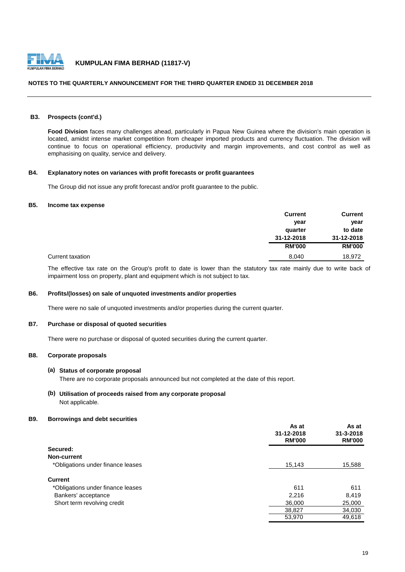

## **NOTES TO THE QUARTERLY ANNOUNCEMENT FOR THE THIRD QUARTER ENDED 31 DECEMBER 2018**

## **B3. Prospects (cont'd.)**

**Food Division** faces many challenges ahead, particularly in Papua New Guinea where the division's main operation is located, amidst intense market competition from cheaper imported products and currency fluctuation. The division will continue to focus on operational efficiency, productivity and margin improvements, and cost control as well as emphasising on quality, service and delivery.

## **B4. Explanatory notes on variances with profit forecasts or profit guarantees**

The Group did not issue any profit forecast and/or profit guarantee to the public.

## **B5. Income tax expense**

|                  | <b>Current</b> | <b>Current</b> |
|------------------|----------------|----------------|
|                  | year           | year           |
|                  | quarter        | to date        |
|                  | 31-12-2018     | 31-12-2018     |
|                  | <b>RM'000</b>  | <b>RM'000</b>  |
| Current taxation | 8,040          | 18,972         |

The effective tax rate on the Group's profit to date is lower than the statutory tax rate mainly due to write back of impairment loss on property, plant and equipment which is not subject to tax.

## **B6. Profits/(losses) on sale of unquoted investments and/or properties**

There were no sale of unquoted investments and/or properties during the current quarter.

## **B7. Purchase or disposal of quoted securities**

There were no purchase or disposal of quoted securities during the current quarter.

## **B8. Corporate proposals**

### **(a) Status of corporate proposal**

There are no corporate proposals announced but not completed at the date of this report.

**(b) Utilisation of proceeds raised from any corporate proposal** Not applicable.

## **B9. Borrowings and debt securities**

|                                   | As at<br>31-12-2018<br><b>RM'000</b> | As at<br>$31 - 3 - 2018$<br><b>RM'000</b> |
|-----------------------------------|--------------------------------------|-------------------------------------------|
| Secured:                          |                                      |                                           |
| Non-current                       |                                      |                                           |
| *Obligations under finance leases | 15,143                               | 15,588                                    |
| <b>Current</b>                    |                                      |                                           |
| *Obligations under finance leases | 611                                  | 611                                       |
| Bankers' acceptance               | 2,216                                | 8,419                                     |
| Short term revolving credit       | 36,000                               | 25,000                                    |
|                                   | 38,827                               | 34,030                                    |
|                                   | 53,970                               | 49,618                                    |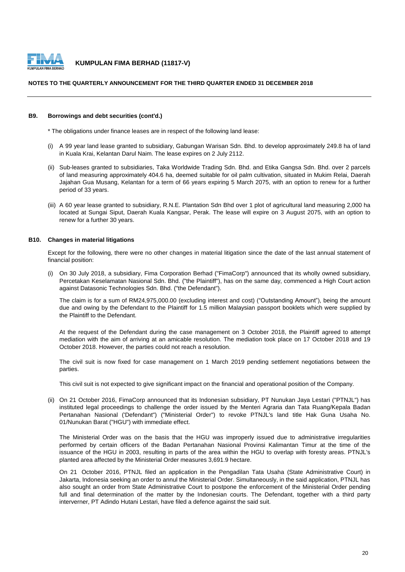

### **NOTES TO THE QUARTERLY ANNOUNCEMENT FOR THE THIRD QUARTER ENDED 31 DECEMBER 2018**

#### **B9. Borrowings and debt securities (cont'd.)**

\* The obligations under finance leases are in respect of the following land lease:

- (i) A 99 year land lease granted to subsidiary, Gabungan Warisan Sdn. Bhd. to develop approximately 249.8 ha of land in Kuala Krai, Kelantan Darul Naim. The lease expires on 2 July 2112.
- (ii) Sub-leases granted to subsidiaries, Taka Worldwide Trading Sdn. Bhd. and Etika Gangsa Sdn. Bhd. over 2 parcels of land measuring approximately 404.6 ha, deemed suitable for oil palm cultivation, situated in Mukim Relai, Daerah Jajahan Gua Musang, Kelantan for a term of 66 years expiring 5 March 2075, with an option to renew for a further period of 33 years.
- (iii) A 60 year lease granted to subsidiary, R.N.E. Plantation Sdn Bhd over 1 plot of agricultural land measuring 2,000 ha located at Sungai Siput, Daerah Kuala Kangsar, Perak. The lease will expire on 3 August 2075, with an option to renew for a further 30 years.

### **B10. Changes in material litigations**

Except for the following, there were no other changes in material litigation since the date of the last annual statement of financial position:

(i) On 30 July 2018, a subsidiary, Fima Corporation Berhad ("FimaCorp") announced that its wholly owned subsidiary, Percetakan Keselamatan Nasional Sdn. Bhd. ("the Plaintiff"), has on the same day, commenced a High Court action against Datasonic Technologies Sdn. Bhd. ("the Defendant").

The claim is for a sum of RM24,975,000.00 (excluding interest and cost) ("Outstanding Amount"), being the amount due and owing by the Defendant to the Plaintiff for 1.5 million Malaysian passport booklets which were supplied by the Plaintiff to the Defendant.

At the request of the Defendant during the case management on 3 October 2018, the Plaintiff agreed to attempt mediation with the aim of arriving at an amicable resolution. The mediation took place on 17 October 2018 and 19 October 2018. However, the parties could not reach a resolution.

The civil suit is now fixed for case management on 1 March 2019 pending settlement negotiations between the parties.

This civil suit is not expected to give significant impact on the financial and operational position of the Company.

(ii) On 21 October 2016, FimaCorp announced that its Indonesian subsidiary, PT Nunukan Jaya Lestari ("PTNJL") has instituted legal proceedings to challenge the order issued by the Menteri Agraria dan Tata Ruang/Kepala Badan Pertanahan Nasional ('Defendant") ("Ministerial Order") to revoke PTNJL's land title Hak Guna Usaha No. 01/Nunukan Barat ("HGU") with immediate effect.

The Ministerial Order was on the basis that the HGU was improperly issued due to administrative irregularities performed by certain officers of the Badan Pertanahan Nasional Provinsi Kalimantan Timur at the time of the issuance of the HGU in 2003, resulting in parts of the area within the HGU to overlap with foresty areas. PTNJL's planted area affected by the Ministerial Order measures 3,691.9 hectare.

On 21 October 2016, PTNJL filed an application in the Pengadilan Tata Usaha (State Administrative Court) in Jakarta, Indonesia seeking an order to annul the Ministerial Order. Simultaneously, in the said application, PTNJL has also sought an order from State Administrative Court to postpone the enforcement of the Ministerial Order pending full and final determination of the matter by the Indonesian courts. The Defendant, together with a third party interverner, PT Adindo Hutani Lestari, have filed a defence against the said suit.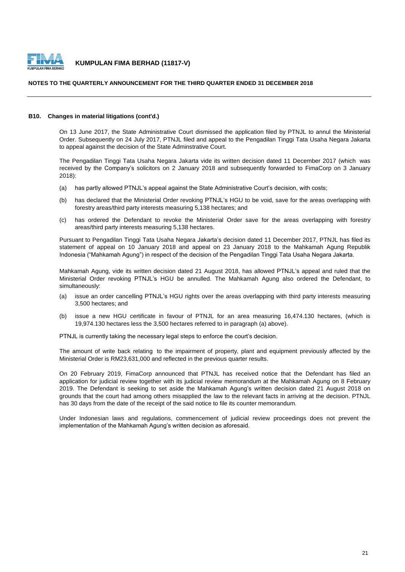

### **NOTES TO THE QUARTERLY ANNOUNCEMENT FOR THE THIRD QUARTER ENDED 31 DECEMBER 2018**

#### **B10. Changes in material litigations (cont'd.)**

On 13 June 2017, the State Administrative Court dismissed the application filed by PTNJL to annul the Ministerial Order. Subsequently on 24 July 2017, PTNJL filed and appeal to the Pengadilan Tinggi Tata Usaha Negara Jakarta to appeal against the decision of the State Adminstrative Court.

The Pengadilan Tinggi Tata Usaha Negara Jakarta vide its written decision dated 11 December 2017 (which was received by the Company's solicitors on 2 January 2018 and subsequently forwarded to FimaCorp on 3 January 2018):

- (a) has partly allowed PTNJL's appeal against the State Administrative Court's decision, with costs;
- $(h)$ has declared that the Ministerial Order revoking PTNJL's HGU to be void, save for the areas overlapping with forestry areas/third party interests measuring 5,138 hectares; and
- (c) has ordered the Defendant to revoke the Ministerial Order save for the areas overlapping with forestry areas/third party interests measuring 5,138 hectares.

Pursuant to Pengadilan Tinggi Tata Usaha Negara Jakarta's decision dated 11 December 2017, PTNJL has filed its statement of appeal on 10 January 2018 and appeal on 23 January 2018 to the Mahkamah Agung Republik Indonesia ("Mahkamah Agung") in respect of the decision of the Pengadilan Tinggi Tata Usaha Negara Jakarta.

Mahkamah Agung, vide its written decision dated 21 August 2018, has allowed PTNJL's appeal and ruled that the Ministerial Order revoking PTNJL's HGU be annulled. The Mahkamah Agung also ordered the Defendant, to simultaneously:

- (a) issue an order cancelling PTNJL's HGU rights over the areas overlapping with third party interests measuring 3,500 hectares; and
- (b) issue a new HGU certificate in favour of PTNJL for an area measuring 16,474.130 hectares, (which is 19,974.130 hectares less the 3,500 hectares referred to in paragraph (a) above).

PTNJL is currently taking the necessary legal steps to enforce the court's decision.

The amount of write back relating to the impairment of property, plant and equipment previously affected by the Ministerial Order is RM23,631,000 and reflected in the previous quarter results.

On 20 February 2019, FimaCorp announced that PTNJL has received notice that the Defendant has filed an application for judicial review together with its judicial review memorandum at the Mahkamah Agung on 8 February 2019. The Defendant is seeking to set aside the Mahkamah Agung's written decision dated 21 August 2018 on grounds that the court had among others misapplied the law to the relevant facts in arriving at the decision. PTNJL has 30 days from the date of the receipt of the said notice to file its counter memorandum.

Under Indonesian laws and regulations, commencement of judicial review proceedings does not prevent the implementation of the Mahkamah Agung's written decision as aforesaid.